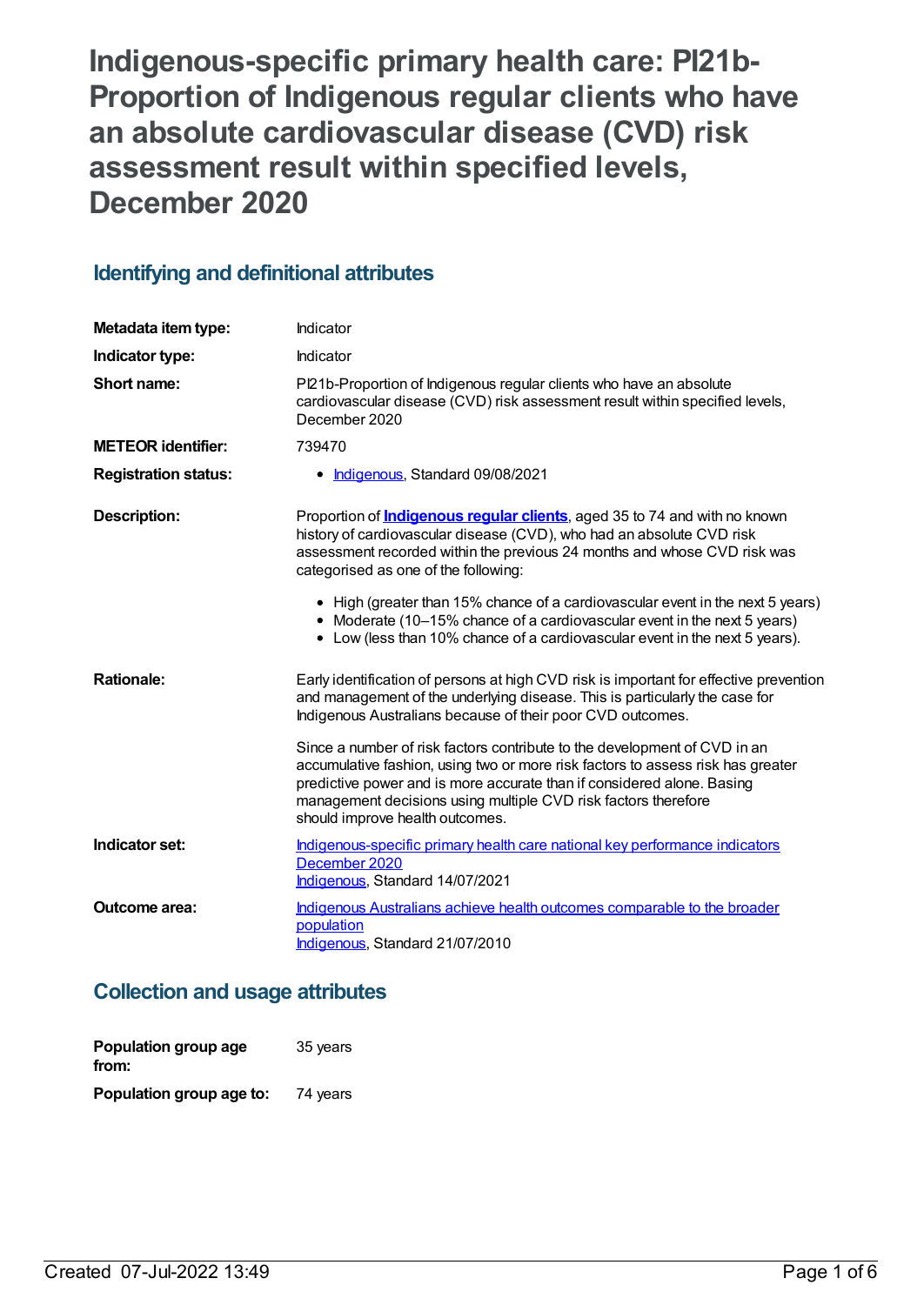**Indigenous-specific primary health care: PI21b-Proportion of Indigenous regular clients who have an absolute cardiovascular disease (CVD) risk assessment result within specified levels, December 2020**

# **Identifying and definitional attributes**

| Metadata item type:         | Indicator                                                                                                                                                                                                                                                                                                                                   |
|-----------------------------|---------------------------------------------------------------------------------------------------------------------------------------------------------------------------------------------------------------------------------------------------------------------------------------------------------------------------------------------|
| Indicator type:             | Indicator                                                                                                                                                                                                                                                                                                                                   |
| Short name:                 | PI21b-Proportion of Indigenous regular clients who have an absolute<br>cardiovascular disease (CVD) risk assessment result within specified levels,<br>December 2020                                                                                                                                                                        |
| <b>METEOR identifier:</b>   | 739470                                                                                                                                                                                                                                                                                                                                      |
| <b>Registration status:</b> | • Indigenous, Standard 09/08/2021                                                                                                                                                                                                                                                                                                           |
| <b>Description:</b>         | Proportion of <b>Indigenous regular clients</b> , aged 35 to 74 and with no known<br>history of cardiovascular disease (CVD), who had an absolute CVD risk<br>assessment recorded within the previous 24 months and whose CVD risk was<br>categorised as one of the following:                                                              |
|                             | • High (greater than 15% chance of a cardiovascular event in the next 5 years)<br>• Moderate (10-15% chance of a cardiovascular event in the next 5 years)<br>• Low (less than 10% chance of a cardiovascular event in the next 5 years).                                                                                                   |
| <b>Rationale:</b>           | Early identification of persons at high CVD risk is important for effective prevention<br>and management of the underlying disease. This is particularly the case for<br>Indigenous Australians because of their poor CVD outcomes.                                                                                                         |
|                             | Since a number of risk factors contribute to the development of CVD in an<br>accumulative fashion, using two or more risk factors to assess risk has greater<br>predictive power and is more accurate than if considered alone. Basing<br>management decisions using multiple CVD risk factors therefore<br>should improve health outcomes. |
| Indicator set:              | Indigenous-specific primary health care national key performance indicators<br>December 2020<br>Indigenous, Standard 14/07/2021                                                                                                                                                                                                             |
| <b>Outcome area:</b>        | Indigenous Australians achieve health outcomes comparable to the broader<br>population<br>Indigenous, Standard 21/07/2010                                                                                                                                                                                                                   |

# **Collection and usage attributes**

| Population group age<br>from: | 35 years |
|-------------------------------|----------|
| Population group age to:      | 74 years |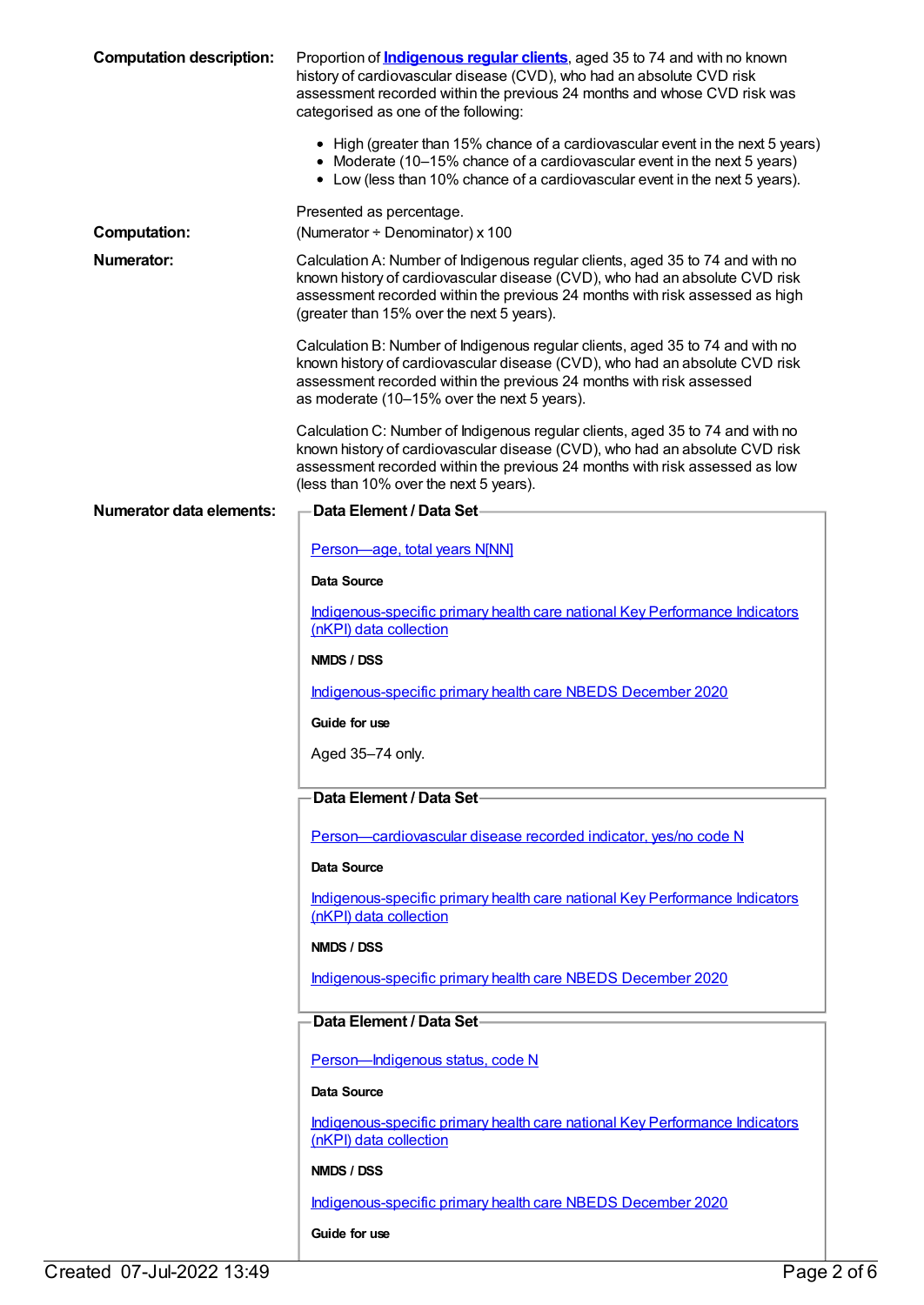| <b>Computation description:</b> | Proportion of <b>Indigenous regular clients</b> , aged 35 to 74 and with no known<br>history of cardiovascular disease (CVD), who had an absolute CVD risk<br>assessment recorded within the previous 24 months and whose CVD risk was<br>categorised as one of the following:             |
|---------------------------------|--------------------------------------------------------------------------------------------------------------------------------------------------------------------------------------------------------------------------------------------------------------------------------------------|
|                                 | • High (greater than 15% chance of a cardiovascular event in the next 5 years)<br>• Moderate (10–15% chance of a cardiovascular event in the next 5 years)<br>• Low (less than 10% chance of a cardiovascular event in the next 5 years).                                                  |
| <b>Computation:</b>             | Presented as percentage.<br>(Numerator $\div$ Denominator) x 100                                                                                                                                                                                                                           |
| Numerator:                      | Calculation A: Number of Indigenous regular clients, aged 35 to 74 and with no<br>known history of cardiovascular disease (CVD), who had an absolute CVD risk<br>assessment recorded within the previous 24 months with risk assessed as high<br>(greater than 15% over the next 5 years). |
|                                 | Calculation B: Number of Indigenous regular clients, aged 35 to 74 and with no<br>known history of cardiovascular disease (CVD), who had an absolute CVD risk<br>assessment recorded within the previous 24 months with risk assessed<br>as moderate (10-15% over the next 5 years).       |
|                                 | Calculation C: Number of Indigenous regular clients, aged 35 to 74 and with no<br>known history of cardiovascular disease (CVD), who had an absolute CVD risk<br>assessment recorded within the previous 24 months with risk assessed as low<br>(less than 10% over the next 5 years).     |
| Numerator data elements:        | <b>Data Element / Data Set-</b>                                                                                                                                                                                                                                                            |
|                                 | Person-age, total years N[NN]                                                                                                                                                                                                                                                              |
|                                 | Data Source                                                                                                                                                                                                                                                                                |
|                                 | Indigenous-specific primary health care national Key Performance Indicators<br>(nKPI) data collection                                                                                                                                                                                      |
|                                 | NMDS / DSS                                                                                                                                                                                                                                                                                 |
|                                 | Indigenous-specific primary health care NBEDS December 2020                                                                                                                                                                                                                                |
|                                 | Guide for use                                                                                                                                                                                                                                                                              |
|                                 | Aged 35-74 only.                                                                                                                                                                                                                                                                           |
|                                 | Data Element / Data Set-                                                                                                                                                                                                                                                                   |
|                                 | Person-cardiovascular disease recorded indicator, yes/no code N                                                                                                                                                                                                                            |
|                                 | Data Source                                                                                                                                                                                                                                                                                |
|                                 | Indigenous-specific primary health care national Key Performance Indicators<br>(nKPI) data collection                                                                                                                                                                                      |
|                                 | NMDS / DSS                                                                                                                                                                                                                                                                                 |
|                                 | Indigenous-specific primary health care NBEDS December 2020                                                                                                                                                                                                                                |
|                                 | Data Element / Data Set-                                                                                                                                                                                                                                                                   |
|                                 | Person-Indigenous status, code N                                                                                                                                                                                                                                                           |
|                                 | Data Source                                                                                                                                                                                                                                                                                |
|                                 | Indigenous-specific primary health care national Key Performance Indicators<br>(nKPI) data collection                                                                                                                                                                                      |
|                                 | NMDS / DSS                                                                                                                                                                                                                                                                                 |
|                                 | Indigenous-specific primary health care NBEDS December 2020                                                                                                                                                                                                                                |
|                                 | Guide for use                                                                                                                                                                                                                                                                              |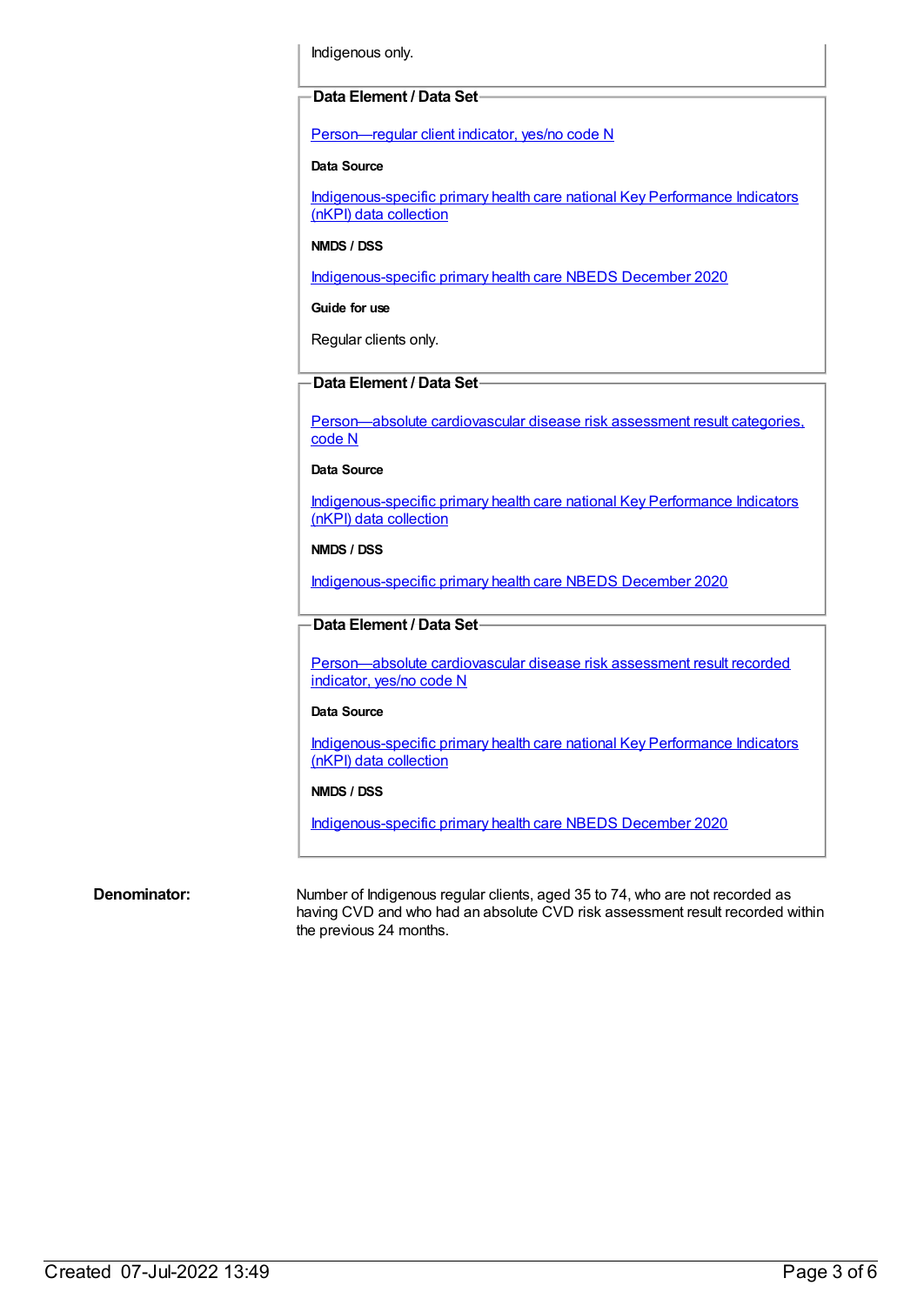Indigenous only.

# **Data Element / Data Set**

[Person—regular](https://meteor.aihw.gov.au/content/686291) client indicator, yes/no code N

### **Data Source**

[Indigenous-specific](https://meteor.aihw.gov.au/content/737914) primary health care national Key Performance Indicators (nKPI) data collection

**NMDS / DSS**

[Indigenous-specific](https://meteor.aihw.gov.au/content/738532) primary health care NBEDS December 2020

**Guide for use**

Regular clients only.

# **Data Element / Data Set**

[Person—absolute](https://meteor.aihw.gov.au/content/699029) cardiovascular disease risk assessment result categories, code N

**Data Source**

[Indigenous-specific](https://meteor.aihw.gov.au/content/737914) primary health care national Key Performance Indicators (nKPI) data collection

#### **NMDS / DSS**

[Indigenous-specific](https://meteor.aihw.gov.au/content/738532) primary health care NBEDS December 2020

# **Data Element / Data Set**

[Person—absolute](https://meteor.aihw.gov.au/content/699031) cardiovascular disease risk assessment result recorded indicator, yes/no code N

#### **Data Source**

[Indigenous-specific](https://meteor.aihw.gov.au/content/737914) primary health care national Key Performance Indicators (nKPI) data collection

#### **NMDS / DSS**

[Indigenous-specific](https://meteor.aihw.gov.au/content/738532) primary health care NBEDS December 2020

**Denominator:** Number of Indigenous regular clients, aged 35 to 74, who are not recorded as having CVD and who had an absolute CVD risk assessment result recorded within the previous 24 months.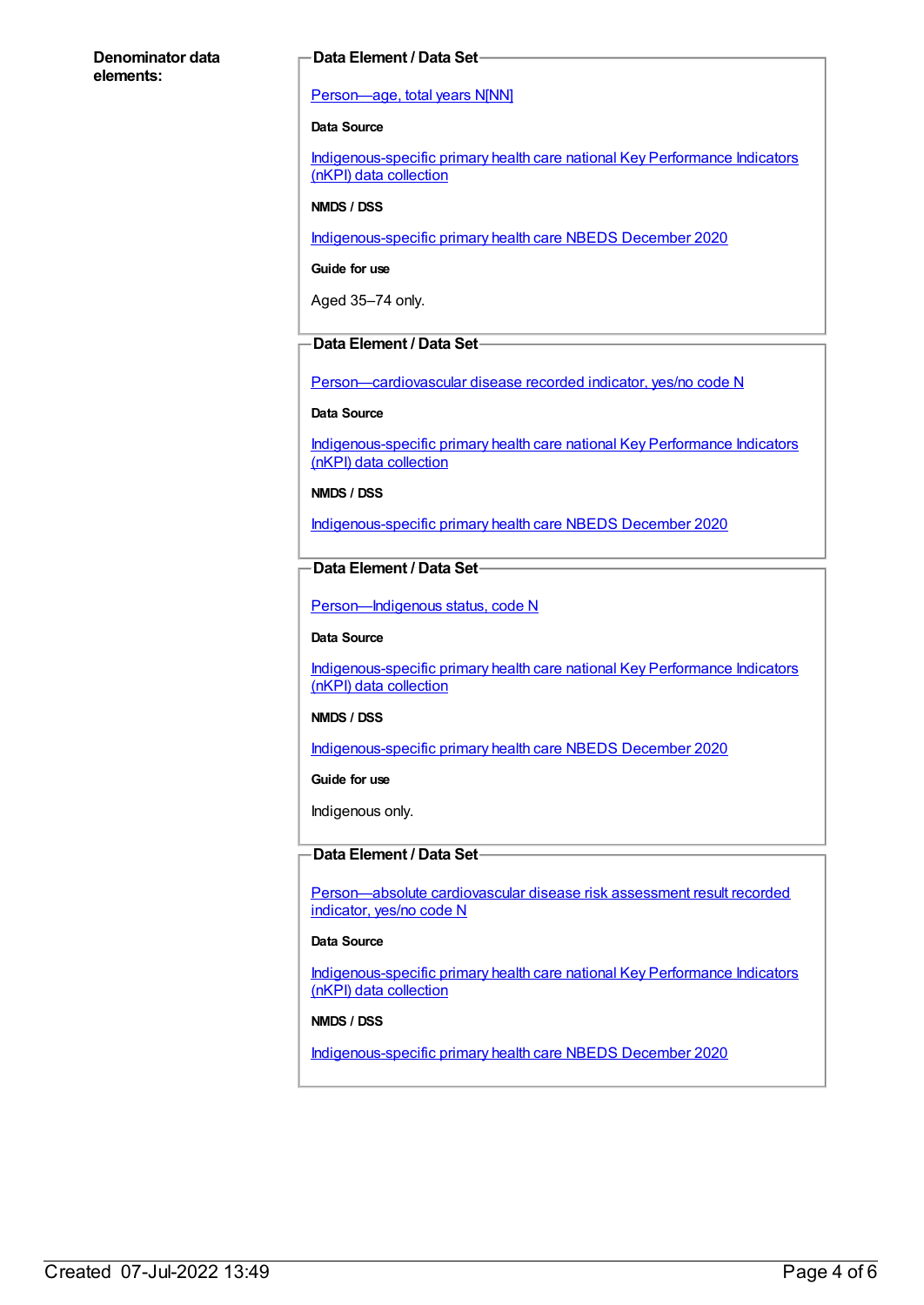## **Denominator data elements:**

## **Data Element / Data Set**

## [Person—age,](https://meteor.aihw.gov.au/content/303794) total years N[NN]

## **Data Source**

[Indigenous-specific](https://meteor.aihw.gov.au/content/737914) primary health care national Key Performance Indicators (nKPI) data collection

#### **NMDS / DSS**

[Indigenous-specific](https://meteor.aihw.gov.au/content/738532) primary health care NBEDS December 2020

**Guide for use**

Aged 35–74 only.

# **Data Element / Data Set**

[Person—cardiovascular](https://meteor.aihw.gov.au/content/465948) disease recorded indicator, yes/no code N

#### **Data Source**

[Indigenous-specific](https://meteor.aihw.gov.au/content/737914) primary health care national Key Performance Indicators (nKPI) data collection

**NMDS / DSS**

[Indigenous-specific](https://meteor.aihw.gov.au/content/738532) primary health care NBEDS December 2020

# **Data Element / Data Set**

[Person—Indigenous](https://meteor.aihw.gov.au/content/602543) status, code N

#### **Data Source**

[Indigenous-specific](https://meteor.aihw.gov.au/content/737914) primary health care national Key Performance Indicators (nKPI) data collection

#### **NMDS / DSS**

[Indigenous-specific](https://meteor.aihw.gov.au/content/738532) primary health care NBEDS December 2020

#### **Guide for use**

Indigenous only.

# **Data Element / Data Set**

[Person—absolute](https://meteor.aihw.gov.au/content/699031) cardiovascular disease risk assessment result recorded indicator, yes/no code N

## **Data Source**

[Indigenous-specific](https://meteor.aihw.gov.au/content/737914) primary health care national Key Performance Indicators (nKPI) data collection

#### **NMDS / DSS**

[Indigenous-specific](https://meteor.aihw.gov.au/content/738532) primary health care NBEDS December 2020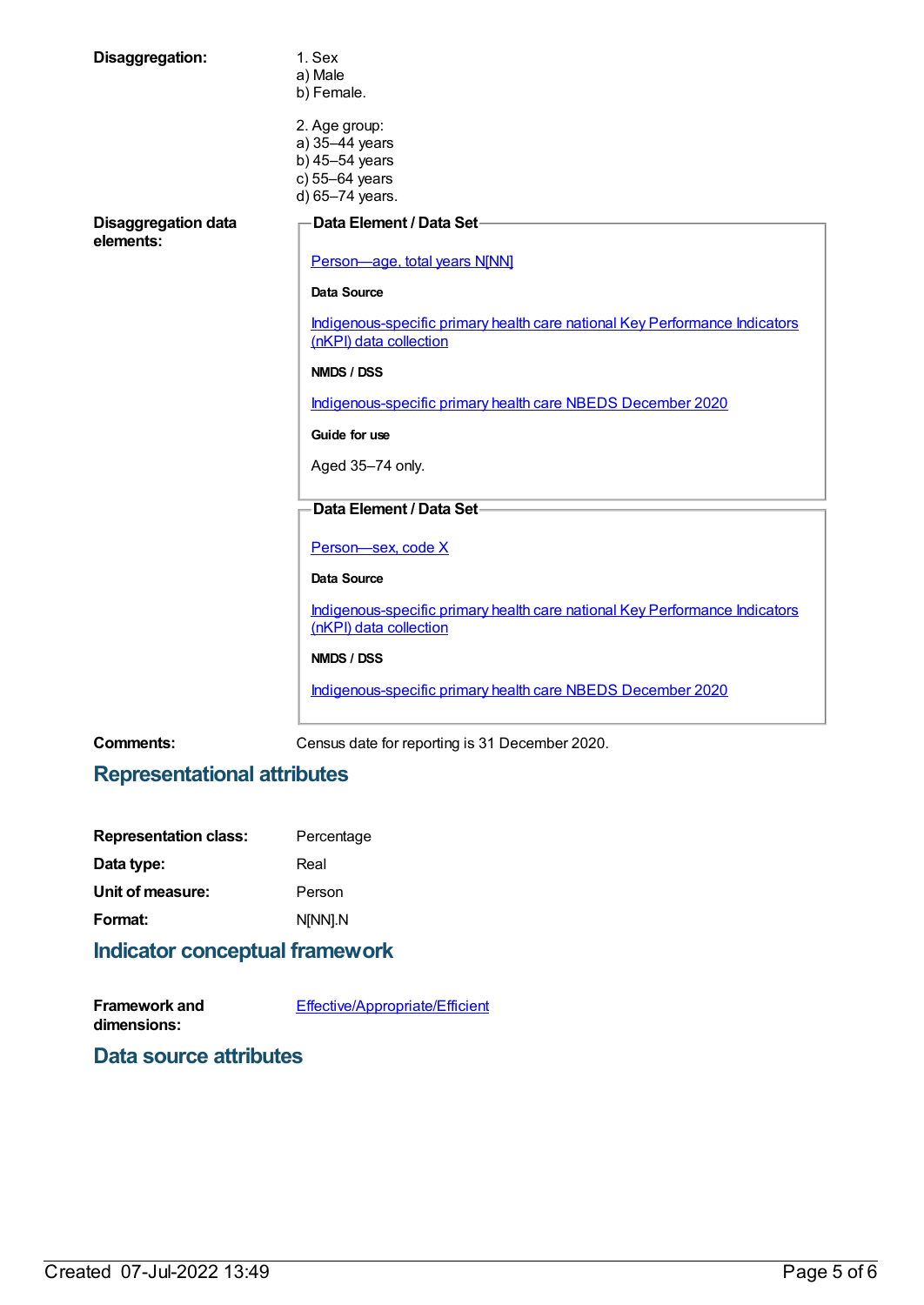| Disaggregation:                         | 1. Sex<br>a) Male<br>b) Female.                                                                       |
|-----------------------------------------|-------------------------------------------------------------------------------------------------------|
|                                         | 2. Age group:<br>a) 35-44 years<br>b) 45-54 years<br>c) 55-64 years<br>d) 65-74 years.                |
| <b>Disaggregation data</b><br>elements: | Data Element / Data Set-                                                                              |
|                                         | Person-age, total years N[NN]                                                                         |
|                                         | Data Source                                                                                           |
|                                         | Indigenous-specific primary health care national Key Performance Indicators<br>(nKPI) data collection |
|                                         | <b>NMDS / DSS</b>                                                                                     |
|                                         | Indigenous-specific primary health care NBEDS December 2020                                           |
|                                         | Guide for use                                                                                         |
|                                         | Aged 35-74 only.                                                                                      |
|                                         | Data Element / Data Set-                                                                              |
|                                         | Person-sex, code X                                                                                    |
|                                         | <b>Data Source</b>                                                                                    |
|                                         | Indigenous-specific primary health care national Key Performance Indicators<br>(nKPI) data collection |
|                                         | NMDS / DSS                                                                                            |
|                                         | Indigenous-specific primary health care NBEDS December 2020                                           |
|                                         |                                                                                                       |

**Comments:** Census date for reporting is 31 December 2020.

# **Representational attributes**

| <b>Representation class:</b> | Percentage |
|------------------------------|------------|
| Data type:                   | Real       |
| Unit of measure:             | Person     |
| Format:                      | N[NN].N    |
|                              |            |

# **Indicator conceptual framework**

| <b>Framework and</b> | <b>Effective/Appropriate/Efficient</b> |
|----------------------|----------------------------------------|
| dimensions:          |                                        |

**Data source attributes**